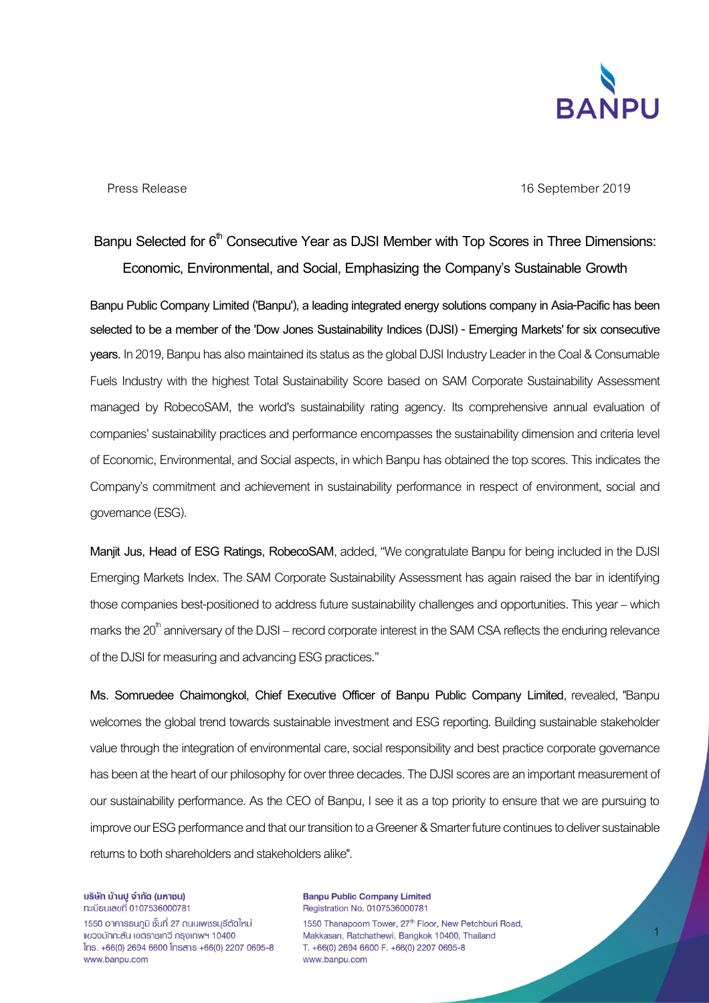

1

Press Release 16 September 2019

## Banpu Selected for 6<sup>th</sup> Consecutive Year as DJSI Member with Top Scores in Three Dimensions: **Economic, Environmental, and Social, Emphasizing the Company's Sustainable Growth**

**Banpu Public Company Limited ('Banpu'), a leading integrated energy solutions company in Asia-Pacific has been selected to be a member of the'Dow Jones Sustainability Indices (DJSI) - Emerging Markets' for six consecutive years.** In 2019, Banpu has also maintained its status as the global DJSI Industry Leader in the Coal & Consumable Fuels Industry with the highest Total Sustainability Score based on SAM Corporate Sustainability Assessment managed by RobecoSAM, the world's sustainability rating agency. Its comprehensive annual evaluation of companies' sustainability practices and performance encompasses the sustainability dimension and criteria level of Economic, Environmental, and Social aspects, in which Banpu has obtained the top scores. This indicates the Company's commitment and achievement in sustainability performance in respect of environment, social and governance(ESG).

**Manjit Jus, Head of ESG Ratings, RobecoSAM**, added, "We congratulate Banpu for being included in the DJSI Emerging Markets Index. The SAM Corporate Sustainability Assessment has again raised the bar in identifying those companies best-positioned to address future sustainability challenges and opportunities. This year – which marks the  $20<sup>th</sup>$  anniversary of the DJSI – record corporate interest in the SAM CSA reflects the enduring relevance of the DJSI for measuring and advancing ESG practices."

**Ms. Somruedee Chaimongkol, Chief Executive Officer of Banpu Public Company Limited**, revealed, "Banpu welcomes the global trend towards sustainable investment and ESG reporting. Building sustainable stakeholder value through the integration of environmental care, social responsibility and best practice corporate governance has been at the heart of our philosophy for over three decades. The DJSI scores are an important measurement of our sustainability performance. As the CEO of Banpu, I see it as a top priority to ensure that we are pursuing to improve our ESG performance and that our transition to a Greener & Smarter future continues to deliver sustainable returns to both shareholders and stakeholders alike".

บริษัท บ้านปู จำกัด (มหาชน) n:เบียนเลขที่ 0107536000781

1550 อาคารธนภูมิ ชั้นที่ 27 ถนนเพชรบุรีตัดใหม่ แขวงมักกะสัน เขตราชเทวี กรุงเทพฯ 10400  $Ins. +66(0)$  2694 6600  $Insans +66(0)$  2207 0695-8 www.banpu.com

**Banpu Public Company Limited** Registration No. 0107536000781

1550 Thanapoom Tower, 27<sup>th</sup> Floor, New Petchburi Road, Makkasan, Ratchathewi, Bangkok 10400, Thailand T. +66(0) 2694 6600 F. +66(0) 2207 0695-8 www.banpu.com